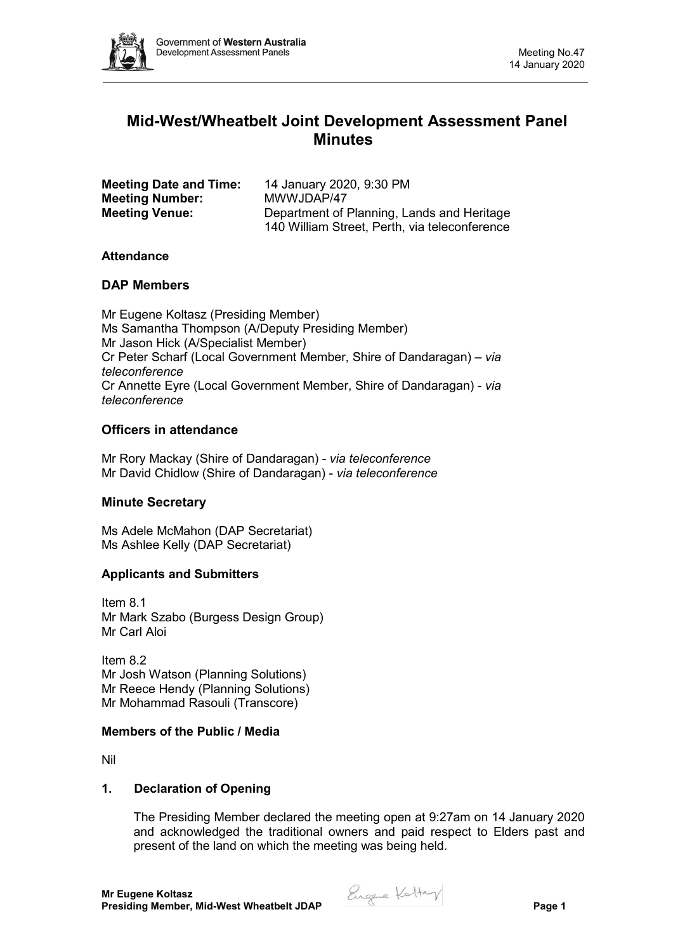

# **Mid-West/Wheatbelt Joint Development Assessment Panel Minutes**

| <b>Meeting Date and Time:</b> | 14 January 2020, 9:30 PM                      |
|-------------------------------|-----------------------------------------------|
| <b>Meeting Number:</b>        | MWWJDAP/47                                    |
| <b>Meeting Venue:</b>         | Department of Planning, Lands and Heritage    |
|                               | 140 William Street, Perth, via teleconference |

## **Attendance**

## **DAP Members**

Mr Eugene Koltasz (Presiding Member) Ms Samantha Thompson (A/Deputy Presiding Member) Mr Jason Hick (A/Specialist Member) Cr Peter Scharf (Local Government Member, Shire of Dandaragan) – *via teleconference* Cr Annette Eyre (Local Government Member, Shire of Dandaragan) - *via teleconference*

## **Officers in attendance**

Mr Rory Mackay (Shire of Dandaragan) - *via teleconference* Mr David Chidlow (Shire of Dandaragan) - *via teleconference*

## **Minute Secretary**

Ms Adele McMahon (DAP Secretariat) Ms Ashlee Kelly (DAP Secretariat)

## **Applicants and Submitters**

Item 8.1 Mr Mark Szabo (Burgess Design Group) Mr Carl Aloi

Item 8.2 Mr Josh Watson (Planning Solutions) Mr Reece Hendy (Planning Solutions) Mr Mohammad Rasouli (Transcore)

#### **Members of the Public / Media**

Nil

#### **1. Declaration of Opening**

The Presiding Member declared the meeting open at 9:27am on 14 January 2020 and acknowledged the traditional owners and paid respect to Elders past and present of the land on which the meeting was being held.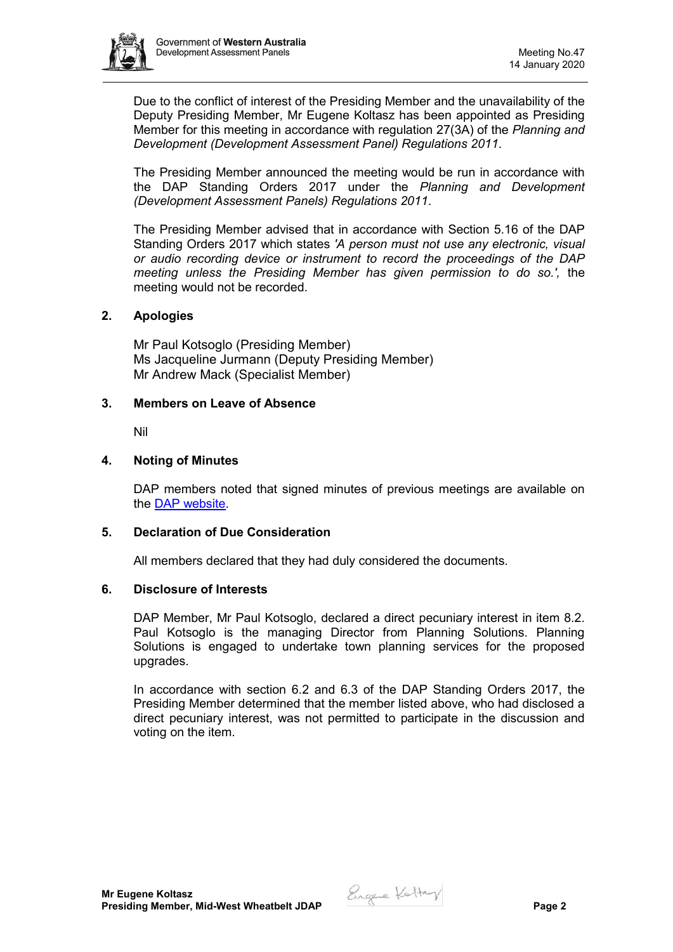

Due to the conflict of interest of the Presiding Member and the unavailability of the Deputy Presiding Member, Mr Eugene Koltasz has been appointed as Presiding Member for this meeting in accordance with regulation 27(3A) of the *Planning and Development (Development Assessment Panel) Regulations 2011*.

The Presiding Member announced the meeting would be run in accordance with the DAP Standing Orders 2017 under the *Planning and Development (Development Assessment Panels) Regulations 2011*.

The Presiding Member advised that in accordance with Section 5.16 of the DAP Standing Orders 2017 which states *'A person must not use any electronic, visual or audio recording device or instrument to record the proceedings of the DAP meeting unless the Presiding Member has given permission to do so.',* the meeting would not be recorded.

## **2. Apologies**

Mr Paul Kotsoglo (Presiding Member) Ms Jacqueline Jurmann (Deputy Presiding Member) Mr Andrew Mack (Specialist Member)

#### **3. Members on Leave of Absence**

Nil

## **4. Noting of Minutes**

DAP members noted that signed minutes of previous meetings are available on the [DAP website.](https://www.dplh.wa.gov.au/about/development-assessment-panels/daps-agendas-and-minutes)

#### **5. Declaration of Due Consideration**

All members declared that they had duly considered the documents.

## **6. Disclosure of Interests**

DAP Member, Mr Paul Kotsoglo, declared a direct pecuniary interest in item 8.2. Paul Kotsoglo is the managing Director from Planning Solutions. Planning Solutions is engaged to undertake town planning services for the proposed upgrades.

In accordance with section 6.2 and 6.3 of the DAP Standing Orders 2017, the Presiding Member determined that the member listed above, who had disclosed a direct pecuniary interest, was not permitted to participate in the discussion and voting on the item.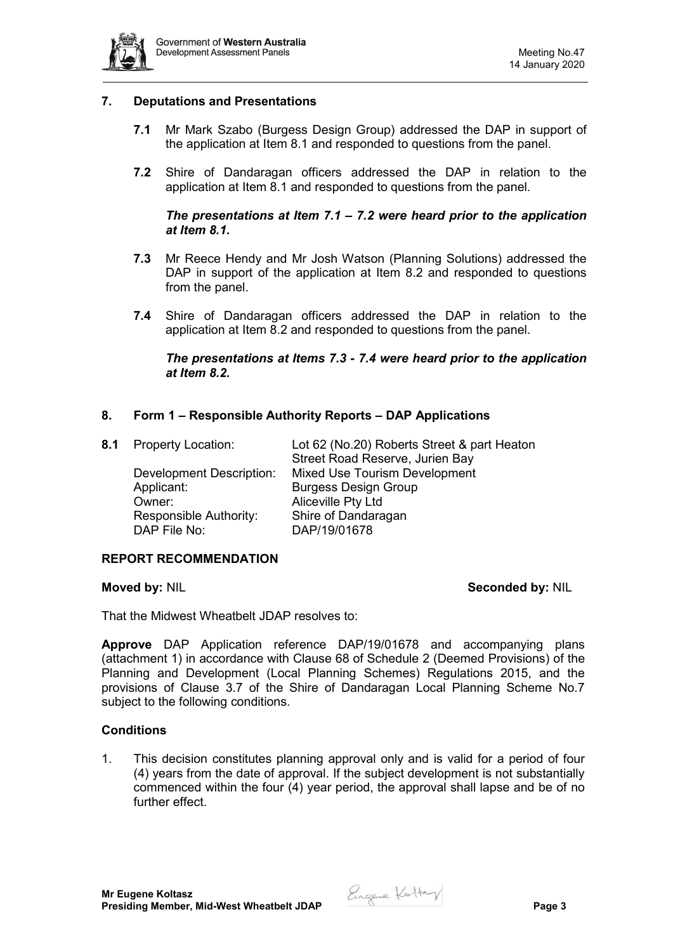

## **7. Deputations and Presentations**

- **7.1** Mr Mark Szabo (Burgess Design Group) addressed the DAP in support of the application at Item 8.1 and responded to questions from the panel.
- **7.2** Shire of Dandaragan officers addressed the DAP in relation to the application at Item 8.1 and responded to questions from the panel.

## *The presentations at Item 7.1 – 7.2 were heard prior to the application at Item 8.1.*

- **7.3** Mr Reece Hendy and Mr Josh Watson (Planning Solutions) addressed the DAP in support of the application at Item 8.2 and responded to questions from the panel.
- **7.4** Shire of Dandaragan officers addressed the DAP in relation to the application at Item 8.2 and responded to questions from the panel.

## *The presentations at Items 7.3 - 7.4 were heard prior to the application at Item 8.2.*

## **8. Form 1 – Responsible Authority Reports – DAP Applications**

Applicant: Burgess Design Group Owner: Aliceville Pty Ltd Responsible Authority: Shire of Dandaragan DAP File No: DAP/19/01678

**8.1** Property Location: Lot 62 (No.20) Roberts Street & part Heaton Street Road Reserve, Jurien Bay Development Description: Mixed Use Tourism Development

#### **REPORT RECOMMENDATION**

**Moved by: NIL Seconded by: NIL** 

That the Midwest Wheatbelt JDAP resolves to:

**Approve** DAP Application reference DAP/19/01678 and accompanying plans (attachment 1) in accordance with Clause 68 of Schedule 2 (Deemed Provisions) of the Planning and Development (Local Planning Schemes) Regulations 2015, and the provisions of Clause 3.7 of the Shire of Dandaragan Local Planning Scheme No.7 subject to the following conditions.

## **Conditions**

1. This decision constitutes planning approval only and is valid for a period of four (4) years from the date of approval. If the subject development is not substantially commenced within the four (4) year period, the approval shall lapse and be of no further effect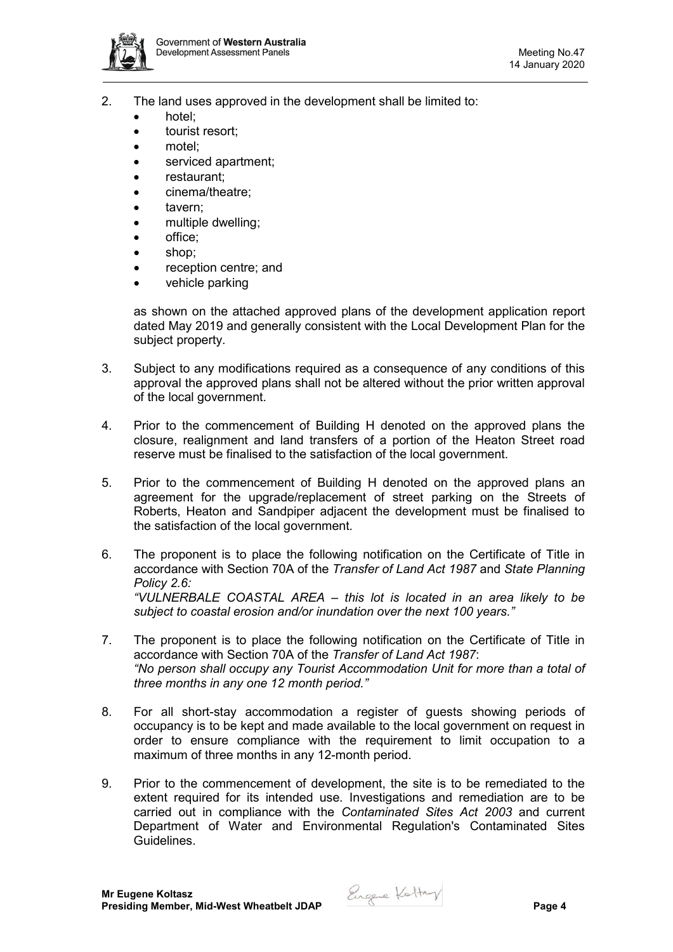

- 2. The land uses approved in the development shall be limited to:
	- hotel;
	- tourist resort;
	- motel;
	- serviced apartment;
	- restaurant;
	- cinema/theatre;
	- tavern;
	- multiple dwelling:
	- office;
	- shop;
	- reception centre; and
	- vehicle parking

as shown on the attached approved plans of the development application report dated May 2019 and generally consistent with the Local Development Plan for the subject property.

- 3. Subject to any modifications required as a consequence of any conditions of this approval the approved plans shall not be altered without the prior written approval of the local government.
- 4. Prior to the commencement of Building H denoted on the approved plans the closure, realignment and land transfers of a portion of the Heaton Street road reserve must be finalised to the satisfaction of the local government.
- 5. Prior to the commencement of Building H denoted on the approved plans an agreement for the upgrade/replacement of street parking on the Streets of Roberts, Heaton and Sandpiper adjacent the development must be finalised to the satisfaction of the local government.
- 6. The proponent is to place the following notification on the Certificate of Title in accordance with Section 70A of the *Transfer of Land Act 1987* and *State Planning Policy 2.6: "VULNERBALE COASTAL AREA – this lot is located in an area likely to be subject to coastal erosion and/or inundation over the next 100 years."*
- 7. The proponent is to place the following notification on the Certificate of Title in accordance with Section 70A of the *Transfer of Land Act 1987*: *"No person shall occupy any Tourist Accommodation Unit for more than a total of three months in any one 12 month period."*
- 8. For all short-stay accommodation a register of guests showing periods of occupancy is to be kept and made available to the local government on request in order to ensure compliance with the requirement to limit occupation to a maximum of three months in any 12-month period.
- 9. Prior to the commencement of development, the site is to be remediated to the extent required for its intended use. Investigations and remediation are to be carried out in compliance with the *Contaminated Sites Act 2003* and current Department of Water and Environmental Regulation's Contaminated Sites Guidelines.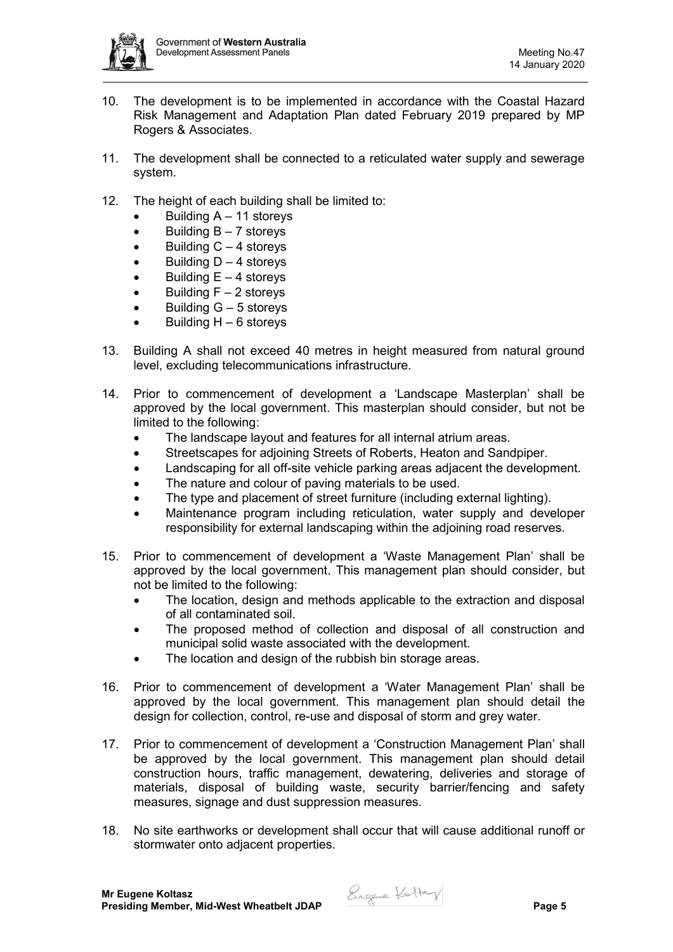

- 10. The development is to be implemented in accordance with the Coastal Hazard Risk Management and Adaptation Plan dated February 2019 prepared by MP Rogers & Associates.
- 11. The development shall be connected to a reticulated water supply and sewerage system.
- 12. The height of each building shall be limited to:
	- Building  $A 11$  storeys
	- $\bullet$  Building  $B 7$  storevs
	- $\bullet$  Building  $C 4$  storeys
	- $\bullet$  Building D 4 storeys
	- $\bullet$  Building  $E 4$  storeys
	- Building  $F 2$  storeys
	- $\bullet$  Building  $G 5$  storeys
	- Building  $H 6$  storeys
- 13. Building A shall not exceed 40 metres in height measured from natural ground level, excluding telecommunications infrastructure.
- 14. Prior to commencement of development a 'Landscape Masterplan' shall be approved by the local government. This masterplan should consider, but not be limited to the following:
	- The landscape layout and features for all internal atrium areas.
	- Streetscapes for adjoining Streets of Roberts, Heaton and Sandpiper.
	- Landscaping for all off-site vehicle parking areas adjacent the development.
	- The nature and colour of paving materials to be used.
	- The type and placement of street furniture (including external lighting).
	- Maintenance program including reticulation, water supply and developer responsibility for external landscaping within the adjoining road reserves.
- 15. Prior to commencement of development a 'Waste Management Plan' shall be approved by the local government. This management plan should consider, but not be limited to the following:
	- The location, design and methods applicable to the extraction and disposal of all contaminated soil.
	- The proposed method of collection and disposal of all construction and municipal solid waste associated with the development.
	- The location and design of the rubbish bin storage areas.
- 16. Prior to commencement of development a 'Water Management Plan' shall be approved by the local government. This management plan should detail the design for collection, control, re-use and disposal of storm and grey water.
- 17. Prior to commencement of development a 'Construction Management Plan' shall be approved by the local government. This management plan should detail construction hours, traffic management, dewatering, deliveries and storage of materials, disposal of building waste, security barrier/fencing and safety measures, signage and dust suppression measures.
- 18. No site earthworks or development shall occur that will cause additional runoff or stormwater onto adjacent properties.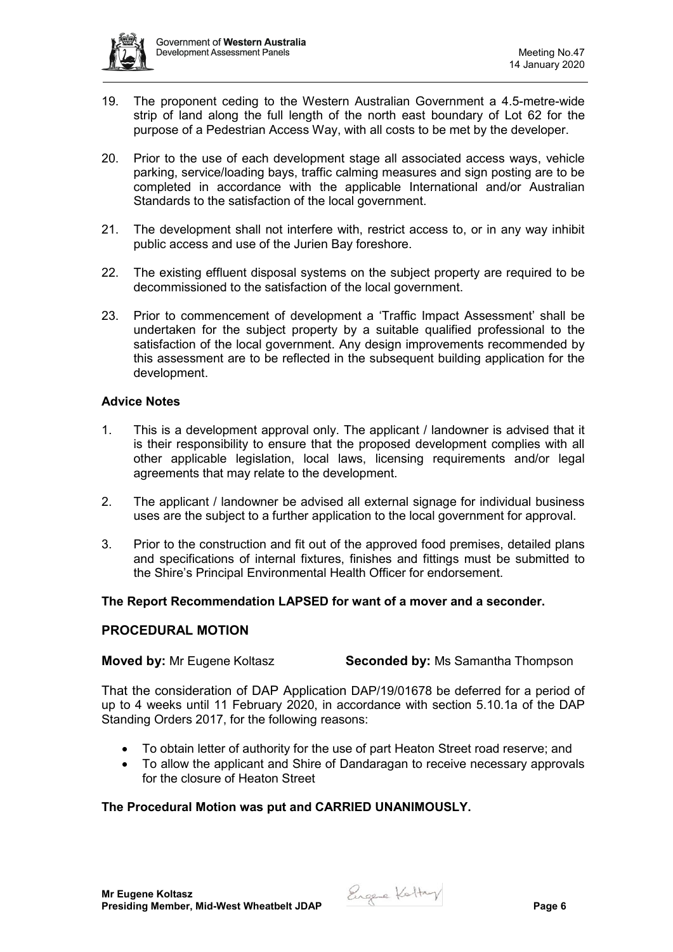

- 19. The proponent ceding to the Western Australian Government a 4.5-metre-wide strip of land along the full length of the north east boundary of Lot 62 for the purpose of a Pedestrian Access Way, with all costs to be met by the developer.
- 20. Prior to the use of each development stage all associated access ways, vehicle parking, service/loading bays, traffic calming measures and sign posting are to be completed in accordance with the applicable International and/or Australian Standards to the satisfaction of the local government.
- 21. The development shall not interfere with, restrict access to, or in any way inhibit public access and use of the Jurien Bay foreshore.
- 22. The existing effluent disposal systems on the subject property are required to be decommissioned to the satisfaction of the local government.
- 23. Prior to commencement of development a 'Traffic Impact Assessment' shall be undertaken for the subject property by a suitable qualified professional to the satisfaction of the local government. Any design improvements recommended by this assessment are to be reflected in the subsequent building application for the development.

## **Advice Notes**

- 1. This is a development approval only. The applicant / landowner is advised that it is their responsibility to ensure that the proposed development complies with all other applicable legislation, local laws, licensing requirements and/or legal agreements that may relate to the development.
- 2. The applicant / landowner be advised all external signage for individual business uses are the subject to a further application to the local government for approval.
- 3. Prior to the construction and fit out of the approved food premises, detailed plans and specifications of internal fixtures, finishes and fittings must be submitted to the Shire's Principal Environmental Health Officer for endorsement.

#### **The Report Recommendation LAPSED for want of a mover and a seconder.**

#### **PROCEDURAL MOTION**

**Moved by:** Mr Eugene Koltasz **Seconded by:** Ms Samantha Thompson

That the consideration of DAP Application DAP/19/01678 be deferred for a period of up to 4 weeks until 11 February 2020, in accordance with section 5.10.1a of the DAP Standing Orders 2017, for the following reasons:

- To obtain letter of authority for the use of part Heaton Street road reserve; and
- To allow the applicant and Shire of Dandaragan to receive necessary approvals for the closure of Heaton Street

## **The Procedural Motion was put and CARRIED UNANIMOUSLY.**

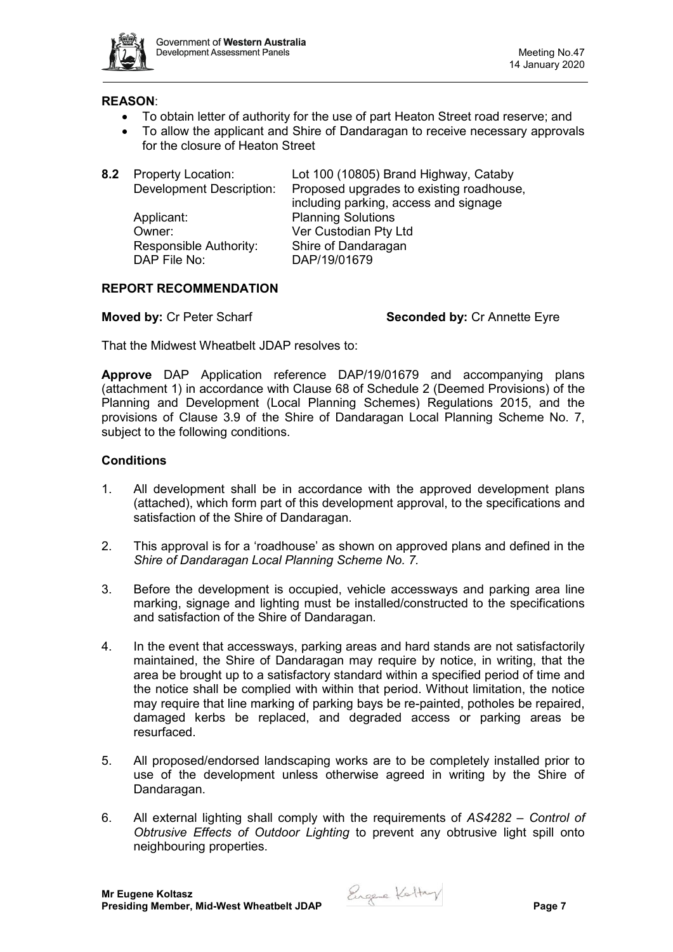

### **REASON**:

- To obtain letter of authority for the use of part Heaton Street road reserve; and
- To allow the applicant and Shire of Dandaragan to receive necessary approvals for the closure of Heaton Street

| 8.2 | <b>Property Location:</b><br><b>Development Description:</b> | Lot 100 (10805) Brand Highway, Cataby<br>Proposed upgrades to existing roadhouse, |
|-----|--------------------------------------------------------------|-----------------------------------------------------------------------------------|
|     | Applicant:                                                   | including parking, access and signage<br><b>Planning Solutions</b>                |
|     | Owner:                                                       | Ver Custodian Pty Ltd                                                             |
|     | Responsible Authority:                                       | Shire of Dandaragan                                                               |
|     | DAP File No:                                                 | DAP/19/01679                                                                      |

## **REPORT RECOMMENDATION**

**Moved by:** Cr Peter Scharf **Seconded by: Cr Annette Eyre Seconded by: Cr Annette Eyre** 

That the Midwest Wheatbelt JDAP resolves to:

**Approve** DAP Application reference DAP/19/01679 and accompanying plans (attachment 1) in accordance with Clause 68 of Schedule 2 (Deemed Provisions) of the Planning and Development (Local Planning Schemes) Regulations 2015, and the provisions of Clause 3.9 of the Shire of Dandaragan Local Planning Scheme No. 7, subject to the following conditions.

## **Conditions**

- 1. All development shall be in accordance with the approved development plans (attached), which form part of this development approval, to the specifications and satisfaction of the Shire of Dandaragan.
- 2. This approval is for a 'roadhouse' as shown on approved plans and defined in the *Shire of Dandaragan Local Planning Scheme No. 7.*
- 3. Before the development is occupied, vehicle accessways and parking area line marking, signage and lighting must be installed/constructed to the specifications and satisfaction of the Shire of Dandaragan.
- 4. In the event that accessways, parking areas and hard stands are not satisfactorily maintained, the Shire of Dandaragan may require by notice, in writing, that the area be brought up to a satisfactory standard within a specified period of time and the notice shall be complied with within that period. Without limitation, the notice may require that line marking of parking bays be re-painted, potholes be repaired, damaged kerbs be replaced, and degraded access or parking areas be resurfaced.
- 5. All proposed/endorsed landscaping works are to be completely installed prior to use of the development unless otherwise agreed in writing by the Shire of Dandaragan.
- 6. All external lighting shall comply with the requirements of *AS4282 – Control of Obtrusive Effects of Outdoor Lighting* to prevent any obtrusive light spill onto neighbouring properties.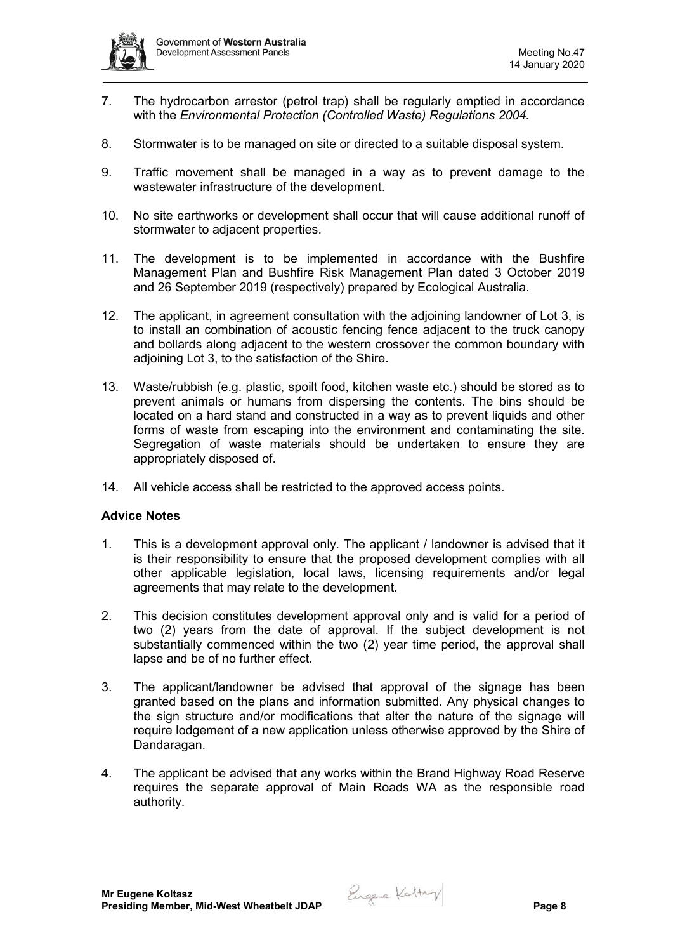

- 7. The hydrocarbon arrestor (petrol trap) shall be regularly emptied in accordance with the *Environmental Protection (Controlled Waste) Regulations 2004.*
- 8. Stormwater is to be managed on site or directed to a suitable disposal system.
- 9. Traffic movement shall be managed in a way as to prevent damage to the wastewater infrastructure of the development.
- 10. No site earthworks or development shall occur that will cause additional runoff of stormwater to adjacent properties.
- 11. The development is to be implemented in accordance with the Bushfire Management Plan and Bushfire Risk Management Plan dated 3 October 2019 and 26 September 2019 (respectively) prepared by Ecological Australia.
- 12. The applicant, in agreement consultation with the adjoining landowner of Lot 3, is to install an combination of acoustic fencing fence adjacent to the truck canopy and bollards along adjacent to the western crossover the common boundary with adjoining Lot 3, to the satisfaction of the Shire.
- 13. Waste/rubbish (e.g. plastic, spoilt food, kitchen waste etc.) should be stored as to prevent animals or humans from dispersing the contents. The bins should be located on a hard stand and constructed in a way as to prevent liquids and other forms of waste from escaping into the environment and contaminating the site. Segregation of waste materials should be undertaken to ensure they are appropriately disposed of.
- 14. All vehicle access shall be restricted to the approved access points.

## **Advice Notes**

- 1. This is a development approval only. The applicant / landowner is advised that it is their responsibility to ensure that the proposed development complies with all other applicable legislation, local laws, licensing requirements and/or legal agreements that may relate to the development.
- 2. This decision constitutes development approval only and is valid for a period of two (2) years from the date of approval. If the subject development is not substantially commenced within the two (2) year time period, the approval shall lapse and be of no further effect.
- 3. The applicant/landowner be advised that approval of the signage has been granted based on the plans and information submitted. Any physical changes to the sign structure and/or modifications that alter the nature of the signage will require lodgement of a new application unless otherwise approved by the Shire of Dandaragan.
- 4. The applicant be advised that any works within the Brand Highway Road Reserve requires the separate approval of Main Roads WA as the responsible road authority.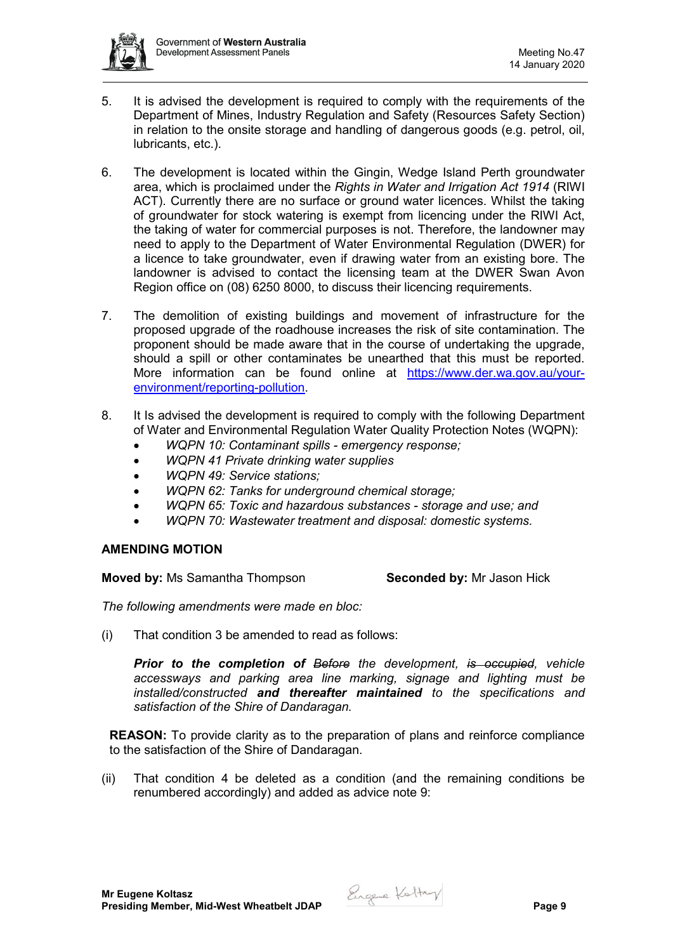

- 5. It is advised the development is required to comply with the requirements of the Department of Mines, Industry Regulation and Safety (Resources Safety Section) in relation to the onsite storage and handling of dangerous goods (e.g. petrol, oil, lubricants, etc.).
- 6. The development is located within the Gingin, Wedge Island Perth groundwater area, which is proclaimed under the *Rights in Water and Irrigation Act 1914* (RIWI ACT). Currently there are no surface or ground water licences. Whilst the taking of groundwater for stock watering is exempt from licencing under the RIWI Act, the taking of water for commercial purposes is not. Therefore, the landowner may need to apply to the Department of Water Environmental Regulation (DWER) for a licence to take groundwater, even if drawing water from an existing bore. The landowner is advised to contact the licensing team at the DWER Swan Avon Region office on (08) 6250 8000, to discuss their licencing requirements.
- 7. The demolition of existing buildings and movement of infrastructure for the proposed upgrade of the roadhouse increases the risk of site contamination. The proponent should be made aware that in the course of undertaking the upgrade, should a spill or other contaminates be unearthed that this must be reported. More information can be found online at [https://www.der.wa.gov.au/your](https://www.der.wa.gov.au/your-environment/reporting-pollution)[environment/reporting-pollution.](https://www.der.wa.gov.au/your-environment/reporting-pollution)
- 8. It Is advised the development is required to comply with the following Department of Water and Environmental Regulation Water Quality Protection Notes (WQPN):
	- *WQPN 10: Contaminant spills - emergency response;*
	- *WQPN 41 Private drinking water supplies*
	- *WQPN 49: Service stations;*
	- *WQPN 62: Tanks for underground chemical storage;*
	- *WQPN 65: Toxic and hazardous substances - storage and use; and*
	- *WQPN 70: Wastewater treatment and disposal: domestic systems.*

## **AMENDING MOTION**

**Moved by:** Ms Samantha Thompson **Seconded by:** Mr Jason Hick

*The following amendments were made en bloc:*

(i) That condition 3 be amended to read as follows:

*Prior to the completion of Before the development, is occupied, vehicle accessways and parking area line marking, signage and lighting must be installed/constructed and thereafter maintained to the specifications and satisfaction of the Shire of Dandaragan.*

**REASON:** To provide clarity as to the preparation of plans and reinforce compliance to the satisfaction of the Shire of Dandaragan.

(ii) That condition 4 be deleted as a condition (and the remaining conditions be renumbered accordingly) and added as advice note 9: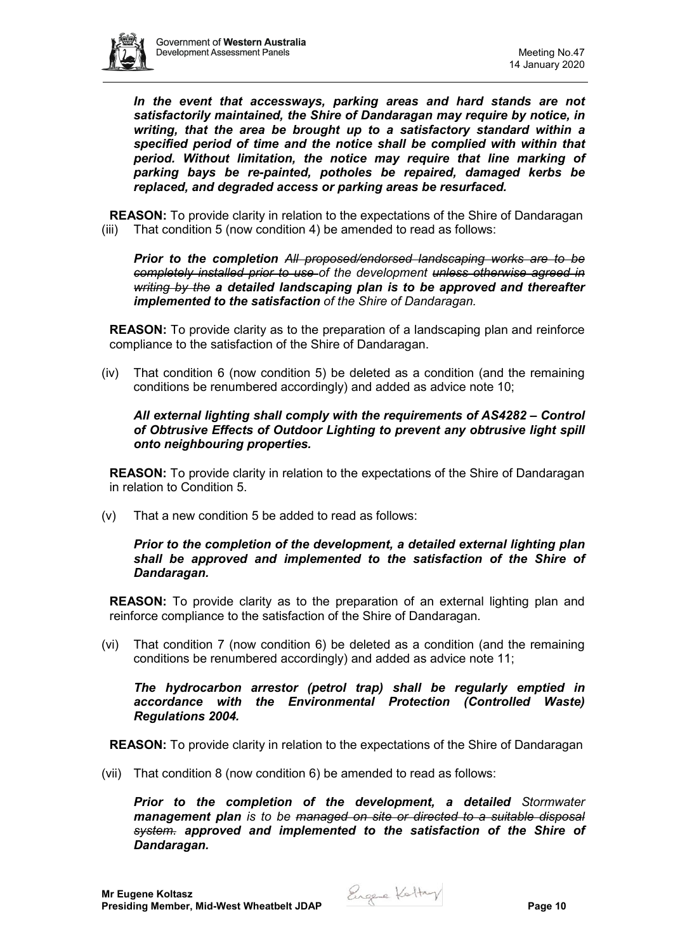

*In the event that accessways, parking areas and hard stands are not satisfactorily maintained, the Shire of Dandaragan may require by notice, in writing, that the area be brought up to a satisfactory standard within a specified period of time and the notice shall be complied with within that period. Without limitation, the notice may require that line marking of parking bays be re-painted, potholes be repaired, damaged kerbs be replaced, and degraded access or parking areas be resurfaced.*

**REASON:** To provide clarity in relation to the expectations of the Shire of Dandaragan (iii) That condition 5 (now condition 4) be amended to read as follows:

*Prior to the completion All proposed/endorsed landscaping works are to be completely installed prior to use of the development unless otherwise agreed in writing by the a detailed landscaping plan is to be approved and thereafter implemented to the satisfaction of the Shire of Dandaragan.* 

**REASON:** To provide clarity as to the preparation of a landscaping plan and reinforce compliance to the satisfaction of the Shire of Dandaragan.

(iv) That condition 6 (now condition 5) be deleted as a condition (and the remaining conditions be renumbered accordingly) and added as advice note 10;

## *All external lighting shall comply with the requirements of AS4282 – Control of Obtrusive Effects of Outdoor Lighting to prevent any obtrusive light spill onto neighbouring properties.*

**REASON:** To provide clarity in relation to the expectations of the Shire of Dandaragan in relation to Condition 5.

(v) That a new condition 5 be added to read as follows:

## *Prior to the completion of the development, a detailed external lighting plan shall be approved and implemented to the satisfaction of the Shire of Dandaragan.*

**REASON:** To provide clarity as to the preparation of an external lighting plan and reinforce compliance to the satisfaction of the Shire of Dandaragan.

(vi) That condition 7 (now condition 6) be deleted as a condition (and the remaining conditions be renumbered accordingly) and added as advice note 11;

#### *The hydrocarbon arrestor (petrol trap) shall be regularly emptied in accordance with the Environmental Protection (Controlled Waste) Regulations 2004.*

**REASON:** To provide clarity in relation to the expectations of the Shire of Dandaragan

(vii) That condition 8 (now condition 6) be amended to read as follows:

*Prior to the completion of the development, a detailed Stormwater management plan is to be managed on site or directed to a suitable disposal system. approved and implemented to the satisfaction of the Shire of Dandaragan.*

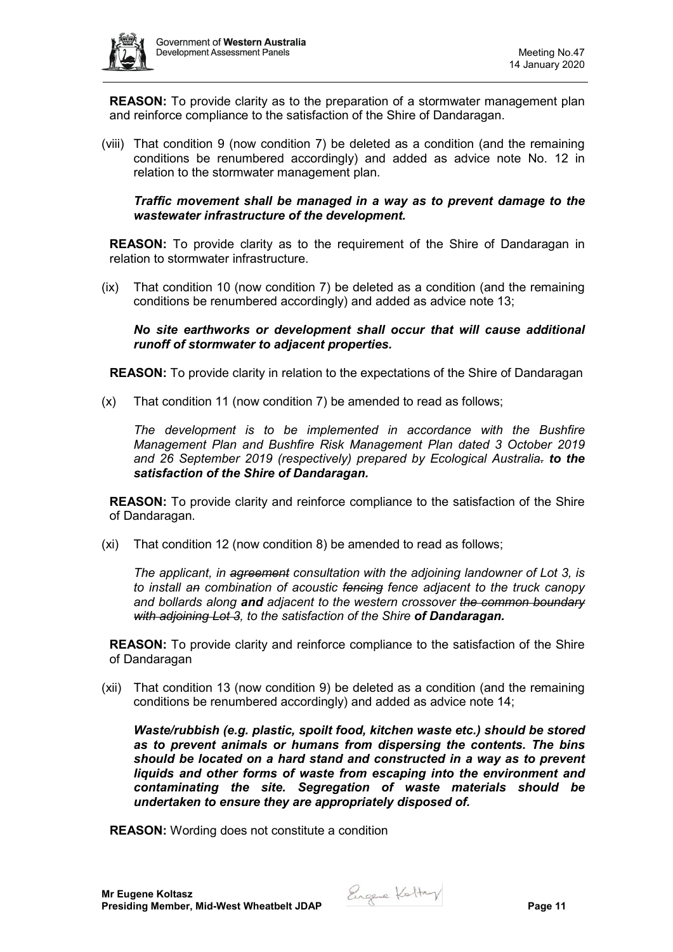

**REASON:** To provide clarity as to the preparation of a stormwater management plan and reinforce compliance to the satisfaction of the Shire of Dandaragan.

(viii) That condition 9 (now condition 7) be deleted as a condition (and the remaining conditions be renumbered accordingly) and added as advice note No. 12 in relation to the stormwater management plan.

*Traffic movement shall be managed in a way as to prevent damage to the wastewater infrastructure of the development.* 

**REASON:** To provide clarity as to the requirement of the Shire of Dandaragan in relation to stormwater infrastructure.

(ix) That condition 10 (now condition 7) be deleted as a condition (and the remaining conditions be renumbered accordingly) and added as advice note 13;

*No site earthworks or development shall occur that will cause additional runoff of stormwater to adjacent properties.*

**REASON:** To provide clarity in relation to the expectations of the Shire of Dandaragan

(x) That condition 11 (now condition 7) be amended to read as follows;

*The development is to be implemented in accordance with the Bushfire Management Plan and Bushfire Risk Management Plan dated 3 October 2019 and 26 September 2019 (respectively) prepared by Ecological Australia. to the satisfaction of the Shire of Dandaragan.*

**REASON:** To provide clarity and reinforce compliance to the satisfaction of the Shire of Dandaragan.

(xi) That condition 12 (now condition 8) be amended to read as follows;

*The applicant, in agreement consultation with the adjoining landowner of Lot 3, is to install an combination of acoustic fencing fence adjacent to the truck canopy and bollards along and adjacent to the western crossover the common boundary with adjoining Lot 3, to the satisfaction of the Shire of Dandaragan.*

**REASON:** To provide clarity and reinforce compliance to the satisfaction of the Shire of Dandaragan

(xii) That condition 13 (now condition 9) be deleted as a condition (and the remaining conditions be renumbered accordingly) and added as advice note 14;

*Waste/rubbish (e.g. plastic, spoilt food, kitchen waste etc.) should be stored as to prevent animals or humans from dispersing the contents. The bins should be located on a hard stand and constructed in a way as to prevent liquids and other forms of waste from escaping into the environment and contaminating the site. Segregation of waste materials should be undertaken to ensure they are appropriately disposed of.*

**REASON:** Wording does not constitute a condition

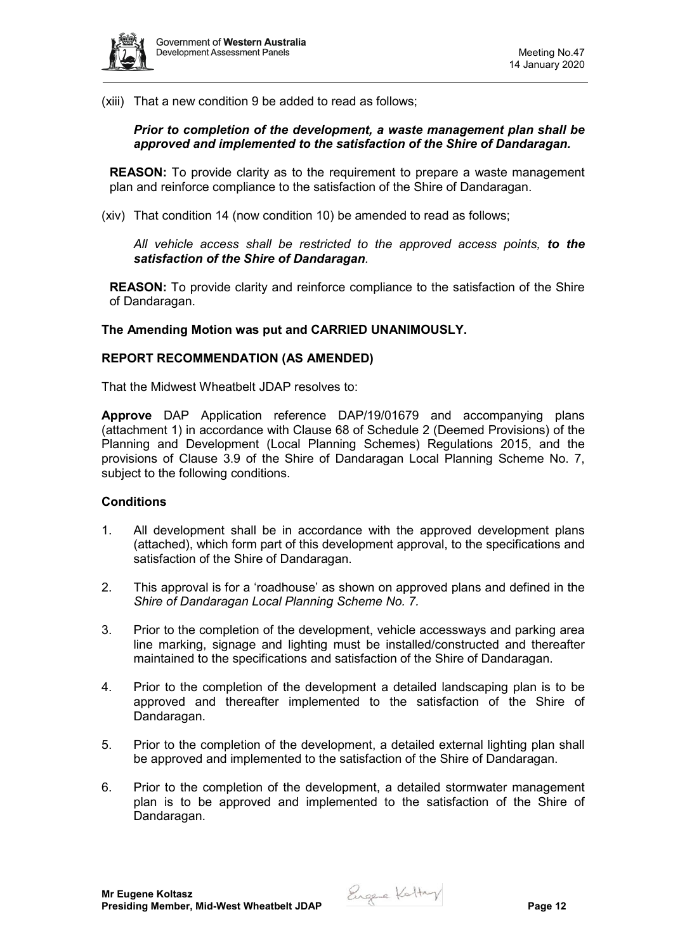

(xiii) That a new condition 9 be added to read as follows;

### *Prior to completion of the development, a waste management plan shall be approved and implemented to the satisfaction of the Shire of Dandaragan.*

**REASON:** To provide clarity as to the requirement to prepare a waste management plan and reinforce compliance to the satisfaction of the Shire of Dandaragan.

(xiv) That condition 14 (now condition 10) be amended to read as follows;

*All vehicle access shall be restricted to the approved access points, to the satisfaction of the Shire of Dandaragan.*

**REASON:** To provide clarity and reinforce compliance to the satisfaction of the Shire of Dandaragan.

#### **The Amending Motion was put and CARRIED UNANIMOUSLY.**

#### **REPORT RECOMMENDATION (AS AMENDED)**

That the Midwest Wheatbelt JDAP resolves to:

**Approve** DAP Application reference DAP/19/01679 and accompanying plans (attachment 1) in accordance with Clause 68 of Schedule 2 (Deemed Provisions) of the Planning and Development (Local Planning Schemes) Regulations 2015, and the provisions of Clause 3.9 of the Shire of Dandaragan Local Planning Scheme No. 7, subject to the following conditions.

#### **Conditions**

- 1. All development shall be in accordance with the approved development plans (attached), which form part of this development approval, to the specifications and satisfaction of the Shire of Dandaragan.
- 2. This approval is for a 'roadhouse' as shown on approved plans and defined in the *Shire of Dandaragan Local Planning Scheme No. 7.*
- 3. Prior to the completion of the development, vehicle accessways and parking area line marking, signage and lighting must be installed/constructed and thereafter maintained to the specifications and satisfaction of the Shire of Dandaragan.
- 4. Prior to the completion of the development a detailed landscaping plan is to be approved and thereafter implemented to the satisfaction of the Shire of Dandaragan.
- 5. Prior to the completion of the development, a detailed external lighting plan shall be approved and implemented to the satisfaction of the Shire of Dandaragan.
- 6. Prior to the completion of the development, a detailed stormwater management plan is to be approved and implemented to the satisfaction of the Shire of Dandaragan.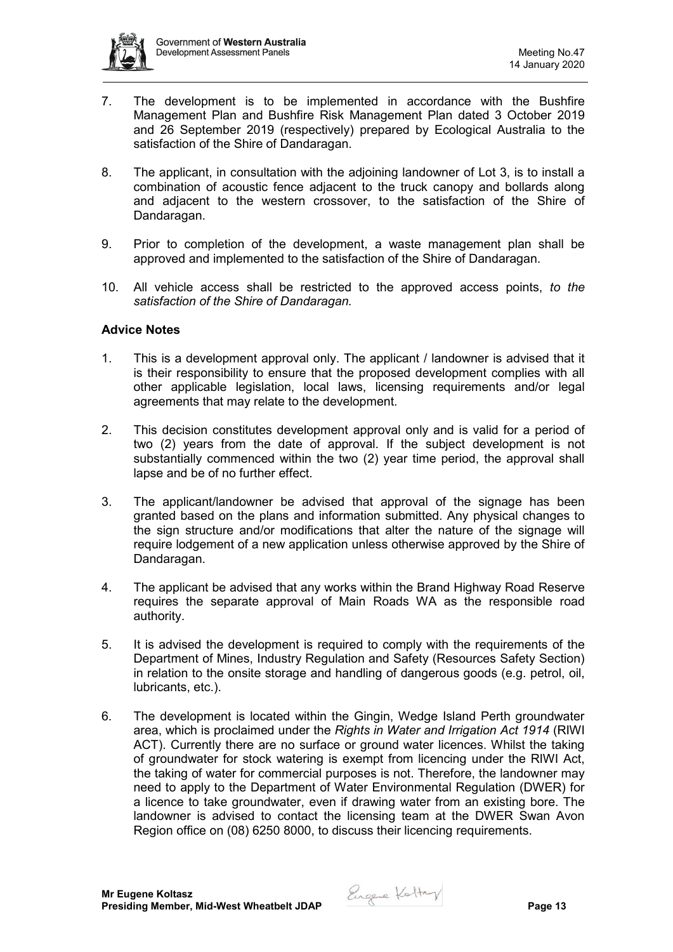

- 7. The development is to be implemented in accordance with the Bushfire Management Plan and Bushfire Risk Management Plan dated 3 October 2019 and 26 September 2019 (respectively) prepared by Ecological Australia to the satisfaction of the Shire of Dandaragan.
- 8. The applicant, in consultation with the adjoining landowner of Lot 3, is to install a combination of acoustic fence adjacent to the truck canopy and bollards along and adjacent to the western crossover, to the satisfaction of the Shire of Dandaragan.
- 9. Prior to completion of the development, a waste management plan shall be approved and implemented to the satisfaction of the Shire of Dandaragan.
- 10. All vehicle access shall be restricted to the approved access points, *to the satisfaction of the Shire of Dandaragan.*

## **Advice Notes**

- 1. This is a development approval only. The applicant / landowner is advised that it is their responsibility to ensure that the proposed development complies with all other applicable legislation, local laws, licensing requirements and/or legal agreements that may relate to the development.
- 2. This decision constitutes development approval only and is valid for a period of two (2) years from the date of approval. If the subject development is not substantially commenced within the two (2) year time period, the approval shall lapse and be of no further effect.
- 3. The applicant/landowner be advised that approval of the signage has been granted based on the plans and information submitted. Any physical changes to the sign structure and/or modifications that alter the nature of the signage will require lodgement of a new application unless otherwise approved by the Shire of Dandaragan.
- 4. The applicant be advised that any works within the Brand Highway Road Reserve requires the separate approval of Main Roads WA as the responsible road authority.
- 5. It is advised the development is required to comply with the requirements of the Department of Mines, Industry Regulation and Safety (Resources Safety Section) in relation to the onsite storage and handling of dangerous goods (e.g. petrol, oil, lubricants, etc.).
- 6. The development is located within the Gingin, Wedge Island Perth groundwater area, which is proclaimed under the *Rights in Water and Irrigation Act 1914* (RIWI ACT). Currently there are no surface or ground water licences. Whilst the taking of groundwater for stock watering is exempt from licencing under the RIWI Act, the taking of water for commercial purposes is not. Therefore, the landowner may need to apply to the Department of Water Environmental Regulation (DWER) for a licence to take groundwater, even if drawing water from an existing bore. The landowner is advised to contact the licensing team at the DWER Swan Avon Region office on (08) 6250 8000, to discuss their licencing requirements.

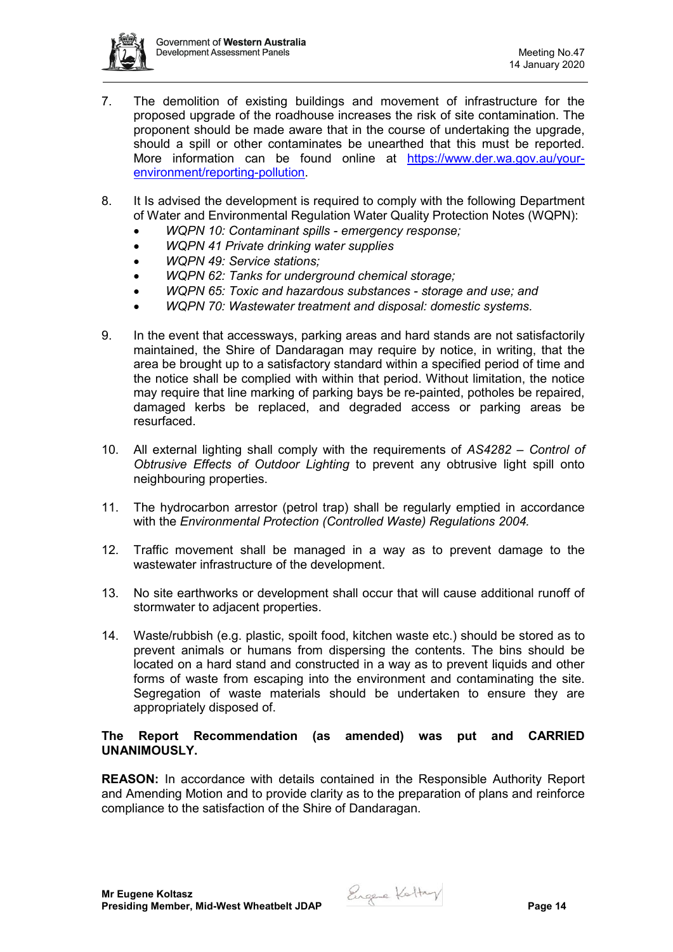

- 7. The demolition of existing buildings and movement of infrastructure for the proposed upgrade of the roadhouse increases the risk of site contamination. The proponent should be made aware that in the course of undertaking the upgrade, should a spill or other contaminates be unearthed that this must be reported. More information can be found online at [https://www.der.wa.gov.au/your](https://www.der.wa.gov.au/your-environment/reporting-pollution)[environment/reporting-pollution.](https://www.der.wa.gov.au/your-environment/reporting-pollution)
- 8. It Is advised the development is required to comply with the following Department of Water and Environmental Regulation Water Quality Protection Notes (WQPN):
	- *WQPN 10: Contaminant spills - emergency response;*
	- *WQPN 41 Private drinking water supplies*
	- *WQPN 49: Service stations;*
	- *WQPN 62: Tanks for underground chemical storage;*
	- *WQPN 65: Toxic and hazardous substances - storage and use; and*
	- *WQPN 70: Wastewater treatment and disposal: domestic systems.*
- 9. In the event that accessways, parking areas and hard stands are not satisfactorily maintained, the Shire of Dandaragan may require by notice, in writing, that the area be brought up to a satisfactory standard within a specified period of time and the notice shall be complied with within that period. Without limitation, the notice may require that line marking of parking bays be re-painted, potholes be repaired, damaged kerbs be replaced, and degraded access or parking areas be resurfaced.
- 10. All external lighting shall comply with the requirements of *AS4282 – Control of Obtrusive Effects of Outdoor Lighting* to prevent any obtrusive light spill onto neighbouring properties.
- 11. The hydrocarbon arrestor (petrol trap) shall be regularly emptied in accordance with the *Environmental Protection (Controlled Waste) Regulations 2004.*
- 12. Traffic movement shall be managed in a way as to prevent damage to the wastewater infrastructure of the development.
- 13. No site earthworks or development shall occur that will cause additional runoff of stormwater to adjacent properties.
- 14. Waste/rubbish (e.g. plastic, spoilt food, kitchen waste etc.) should be stored as to prevent animals or humans from dispersing the contents. The bins should be located on a hard stand and constructed in a way as to prevent liquids and other forms of waste from escaping into the environment and contaminating the site. Segregation of waste materials should be undertaken to ensure they are appropriately disposed of.

## **The Report Recommendation (as amended) was put and CARRIED UNANIMOUSLY.**

**REASON:** In accordance with details contained in the Responsible Authority Report and Amending Motion and to provide clarity as to the preparation of plans and reinforce compliance to the satisfaction of the Shire of Dandaragan.